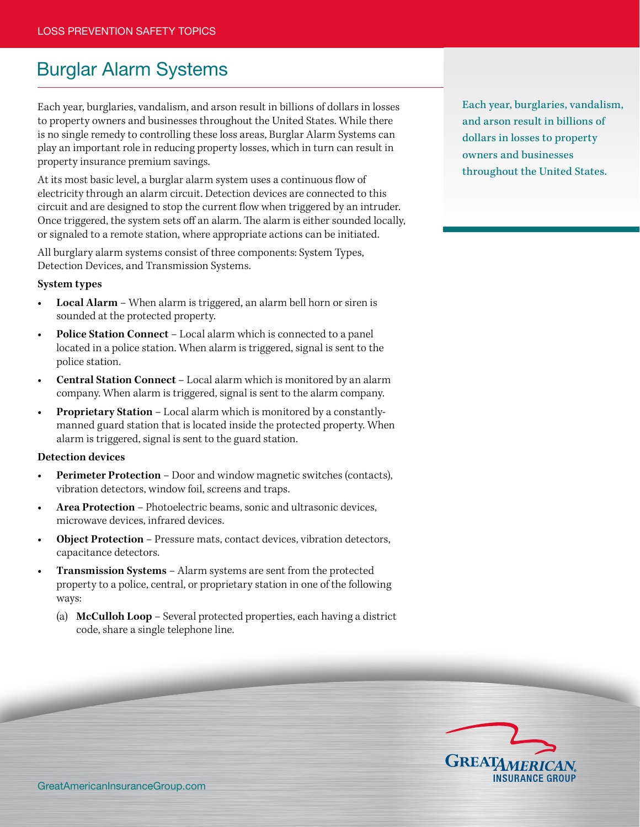## Burglar Alarm Systems

Each year, burglaries, vandalism, and arson result in billions of dollars in losses to property owners and businesses throughout the United States. While there is no single remedy to controlling these loss areas, Burglar Alarm Systems can play an important role in reducing property losses, which in turn can result in property insurance premium savings.

At its most basic level, a burglar alarm system uses a continuous flow of electricity through an alarm circuit. Detection devices are connected to this circuit and are designed to stop the current flow when triggered by an intruder. Once triggered, the system sets off an alarm. The alarm is either sounded locally, or signaled to a remote station, where appropriate actions can be initiated.

All burglary alarm systems consist of three components: System Types, Detection Devices, and Transmission Systems.

## **System types**

- **Local Alarm** When alarm is triggered, an alarm bell horn or siren is sounded at the protected property.
- **Police Station Connect Local alarm which is connected to a panel** located in a police station. When alarm is triggered, signal is sent to the police station.
- **Central Station Connect** Local alarm which is monitored by an alarm company. When alarm is triggered, signal is sent to the alarm company.
- **Proprietary Station Local alarm which is monitored by a constantly**manned guard station that is located inside the protected property. When alarm is triggered, signal is sent to the guard station.

## **Detection devices**

- **Perimeter Protection** Door and window magnetic switches (contacts), vibration detectors, window foil, screens and traps.
- **Area Protection** Photoelectric beams, sonic and ultrasonic devices, microwave devices, infrared devices.
- **Object Protection** Pressure mats, contact devices, vibration detectors, capacitance detectors.
- **Transmission Systems** Alarm systems are sent from the protected property to a police, central, or proprietary station in one of the following ways:
	- (a) **McCulloh Loop** Several protected properties, each having a district code, share a single telephone line.

Each year, burglaries, vandalism, and arson result in billions of dollars in losses to property owners and businesses throughout the United States.